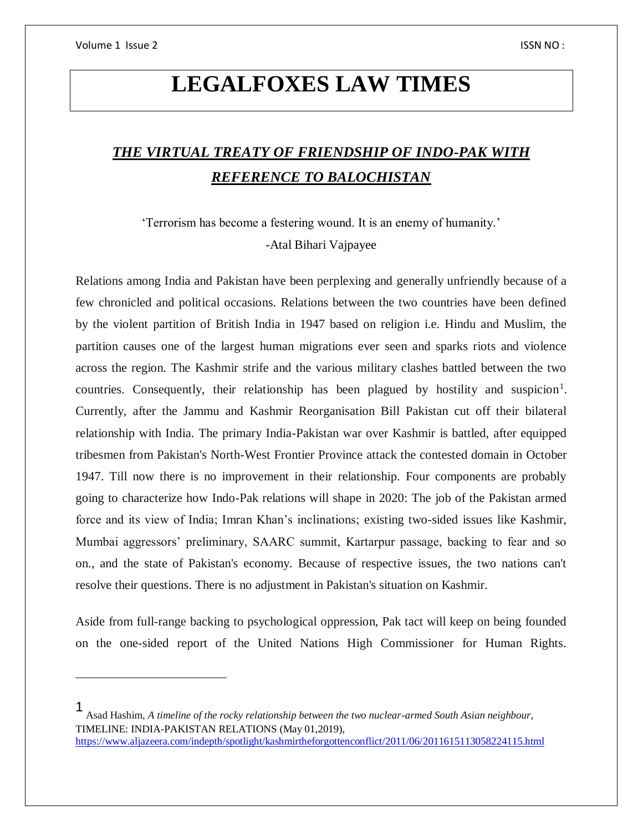$\overline{a}$ 

# **LEGALFOXES LAW TIMES**

# *THE VIRTUAL TREATY OF FRIENDSHIP OF INDO-PAK WITH REFERENCE TO BALOCHISTAN*

'Terrorism has become a festering wound. It is an enemy of humanity.' -Atal Bihari Vajpayee

Relations among India and Pakistan have been perplexing and generally unfriendly because of a few chronicled and political occasions. Relations between the two countries have been defined by the violent partition of British India in 1947 based on religion i.e. Hindu and Muslim, the partition causes one of the largest human migrations ever seen and sparks riots and violence across the region. The Kashmir strife and the various military clashes battled between the two countries. Consequently, their relationship has been plagued by hostility and suspicion<sup>1</sup>. Currently, after the Jammu and Kashmir Reorganisation Bill Pakistan cut off their bilateral relationship with India. The primary India-Pakistan war over Kashmir is battled, after equipped tribesmen from Pakistan's North-West Frontier Province attack the contested domain in October 1947. Till now there is no improvement in their relationship. Four components are probably going to characterize how Indo-Pak relations will shape in 2020: The job of the Pakistan armed force and its view of India; Imran Khan's inclinations; existing two-sided issues like Kashmir, Mumbai aggressors' preliminary, SAARC summit, Kartarpur passage, backing to fear and so on., and the state of Pakistan's economy. Because of respective issues, the two nations can't resolve their questions. There is no adjustment in Pakistan's situation on Kashmir.

Aside from full-range backing to psychological oppression, Pak tact will keep on being founded on the one-sided report of the United Nations High Commissioner for Human Rights.

<sup>1</sup> Asad Hashim, *A timeline of the rocky relationship between the two nuclear-armed South Asian neighbour,* TIMELINE: INDIA-PAKISTAN RELATIONS (May 01,2019),

<https://www.aljazeera.com/indepth/spotlight/kashmirtheforgottenconflict/2011/06/2011615113058224115.html>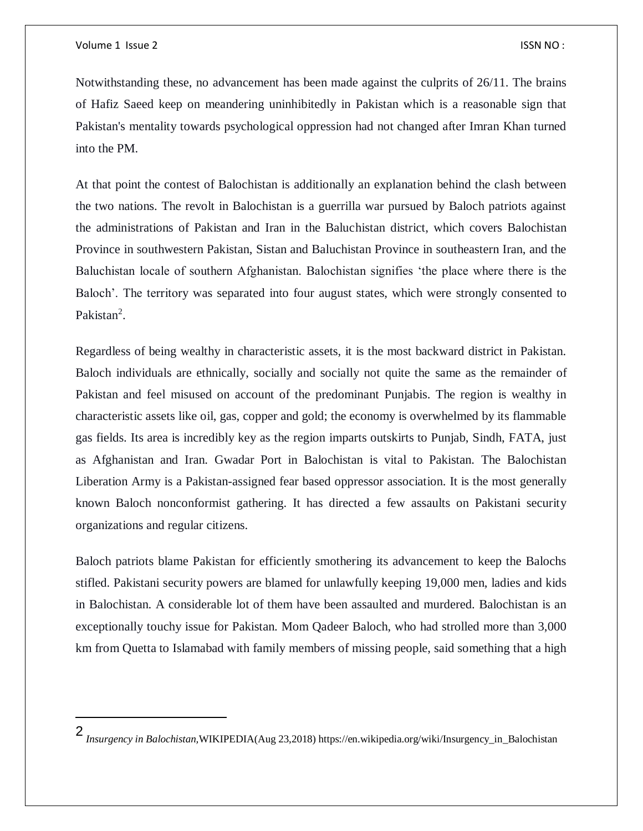$\overline{\phantom{a}}$ 

Notwithstanding these, no advancement has been made against the culprits of 26/11. The brains of Hafiz Saeed keep on meandering uninhibitedly in Pakistan which is a reasonable sign that Pakistan's mentality towards psychological oppression had not changed after Imran Khan turned into the PM.

At that point the contest of Balochistan is additionally an explanation behind the clash between the two nations. The revolt in Balochistan is a guerrilla war pursued by Baloch patriots against the administrations of Pakistan and Iran in the Baluchistan district, which covers Balochistan Province in southwestern Pakistan, Sistan and Baluchistan Province in southeastern Iran, and the Baluchistan locale of southern Afghanistan. Balochistan signifies 'the place where there is the Baloch'. The territory was separated into four august states, which were strongly consented to Pakistan<sup>2</sup>.

Regardless of being wealthy in characteristic assets, it is the most backward district in Pakistan. Baloch individuals are ethnically, socially and socially not quite the same as the remainder of Pakistan and feel misused on account of the predominant Punjabis. The region is wealthy in characteristic assets like oil, gas, copper and gold; the economy is overwhelmed by its flammable gas fields. Its area is incredibly key as the region imparts outskirts to Punjab, Sindh, FATA, just as Afghanistan and Iran. Gwadar Port in Balochistan is vital to Pakistan. The Balochistan Liberation Army is a Pakistan-assigned fear based oppressor association. It is the most generally known Baloch nonconformist gathering. It has directed a few assaults on Pakistani security organizations and regular citizens.

Baloch patriots blame Pakistan for efficiently smothering its advancement to keep the Balochs stifled. Pakistani security powers are blamed for unlawfully keeping 19,000 men, ladies and kids in Balochistan. A considerable lot of them have been assaulted and murdered. Balochistan is an exceptionally touchy issue for Pakistan. Mom Qadeer Baloch, who had strolled more than 3,000 km from Quetta to Islamabad with family members of missing people, said something that a high

<sup>2</sup> *Insurgency in Balochistan,*WIKIPEDIA(Aug 23,2018) https://en.wikipedia.org/wiki/Insurgency\_in\_Balochistan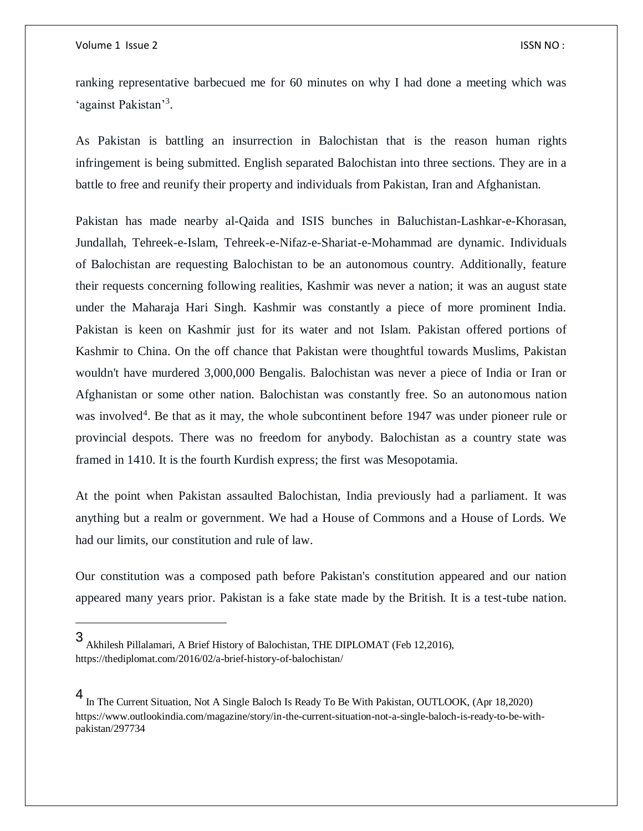$\overline{a}$ 

ranking representative barbecued me for 60 minutes on why I had done a meeting which was 'against Pakistan'<sup>3</sup>.

As Pakistan is battling an insurrection in Balochistan that is the reason human rights infringement is being submitted. English separated Balochistan into three sections. They are in a battle to free and reunify their property and individuals from Pakistan, Iran and Afghanistan.

Pakistan has made nearby al-Qaida and ISIS bunches in Baluchistan-Lashkar-e-Khorasan, Jundallah, Tehreek-e-Islam, Tehreek-e-Nifaz-e-Shariat-e-Mohammad are dynamic. Individuals of Balochistan are requesting Balochistan to be an autonomous country. Additionally, feature their requests concerning following realities, Kashmir was never a nation; it was an august state under the Maharaja Hari Singh. Kashmir was constantly a piece of more prominent India. Pakistan is keen on Kashmir just for its water and not Islam. Pakistan offered portions of Kashmir to China. On the off chance that Pakistan were thoughtful towards Muslims, Pakistan wouldn't have murdered 3,000,000 Bengalis. Balochistan was never a piece of India or Iran or Afghanistan or some other nation. Balochistan was constantly free. So an autonomous nation was involved<sup>4</sup>. Be that as it may, the whole subcontinent before 1947 was under pioneer rule or provincial despots. There was no freedom for anybody. Balochistan as a country state was framed in 1410. It is the fourth Kurdish express; the first was Mesopotamia.

At the point when Pakistan assaulted Balochistan, India previously had a parliament. It was anything but a realm or government. We had a House of Commons and a House of Lords. We had our limits, our constitution and rule of law.

Our constitution was a composed path before Pakistan's constitution appeared and our nation appeared many years prior. Pakistan is a fake state made by the British. It is a test-tube nation.

<sup>3</sup> Akhilesh Pillalamari, A Brief History of Balochistan, THE DIPLOMAT (Feb 12,2016), https://thediplomat.com/2016/02/a-brief-history-of-balochistan/

<sup>4</sup> In The Current Situation, Not A Single Baloch Is Ready To Be With Pakistan, OUTLOOK, (Apr 18,2020) https://www.outlookindia.com/magazine/story/in-the-current-situation-not-a-single-baloch-is-ready-to-be-withpakistan/297734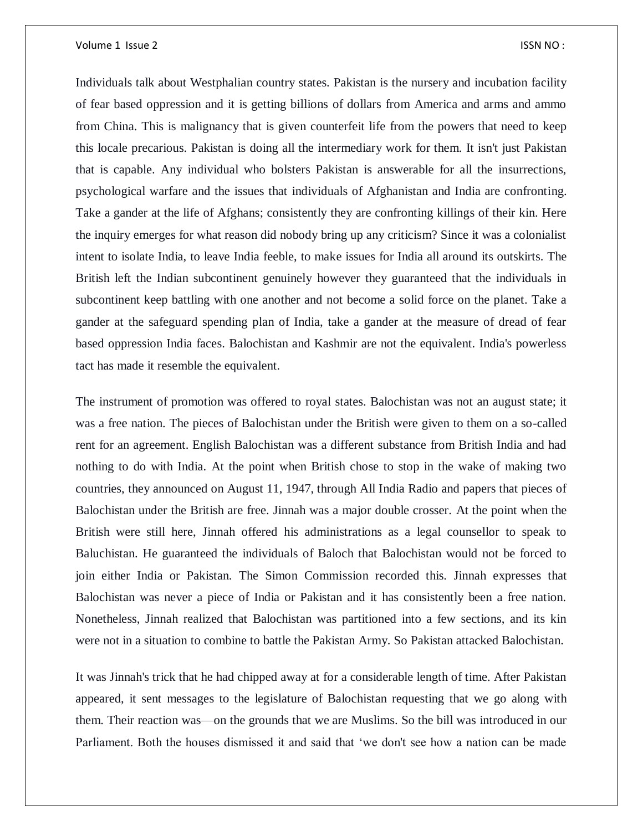Individuals talk about Westphalian country states. Pakistan is the nursery and incubation facility of fear based oppression and it is getting billions of dollars from America and arms and ammo from China. This is malignancy that is given counterfeit life from the powers that need to keep this locale precarious. Pakistan is doing all the intermediary work for them. It isn't just Pakistan that is capable. Any individual who bolsters Pakistan is answerable for all the insurrections, psychological warfare and the issues that individuals of Afghanistan and India are confronting. Take a gander at the life of Afghans; consistently they are confronting killings of their kin. Here the inquiry emerges for what reason did nobody bring up any criticism? Since it was a colonialist intent to isolate India, to leave India feeble, to make issues for India all around its outskirts. The British left the Indian subcontinent genuinely however they guaranteed that the individuals in subcontinent keep battling with one another and not become a solid force on the planet. Take a gander at the safeguard spending plan of India, take a gander at the measure of dread of fear based oppression India faces. Balochistan and Kashmir are not the equivalent. India's powerless tact has made it resemble the equivalent.

The instrument of promotion was offered to royal states. Balochistan was not an august state; it was a free nation. The pieces of Balochistan under the British were given to them on a so-called rent for an agreement. English Balochistan was a different substance from British India and had nothing to do with India. At the point when British chose to stop in the wake of making two countries, they announced on August 11, 1947, through All India Radio and papers that pieces of Balochistan under the British are free. Jinnah was a major double crosser. At the point when the British were still here, Jinnah offered his administrations as a legal counsellor to speak to Baluchistan. He guaranteed the individuals of Baloch that Balochistan would not be forced to join either India or Pakistan. The Simon Commission recorded this. Jinnah expresses that Balochistan was never a piece of India or Pakistan and it has consistently been a free nation. Nonetheless, Jinnah realized that Balochistan was partitioned into a few sections, and its kin were not in a situation to combine to battle the Pakistan Army. So Pakistan attacked Balochistan.

It was Jinnah's trick that he had chipped away at for a considerable length of time. After Pakistan appeared, it sent messages to the legislature of Balochistan requesting that we go along with them. Their reaction was—on the grounds that we are Muslims. So the bill was introduced in our Parliament. Both the houses dismissed it and said that 'we don't see how a nation can be made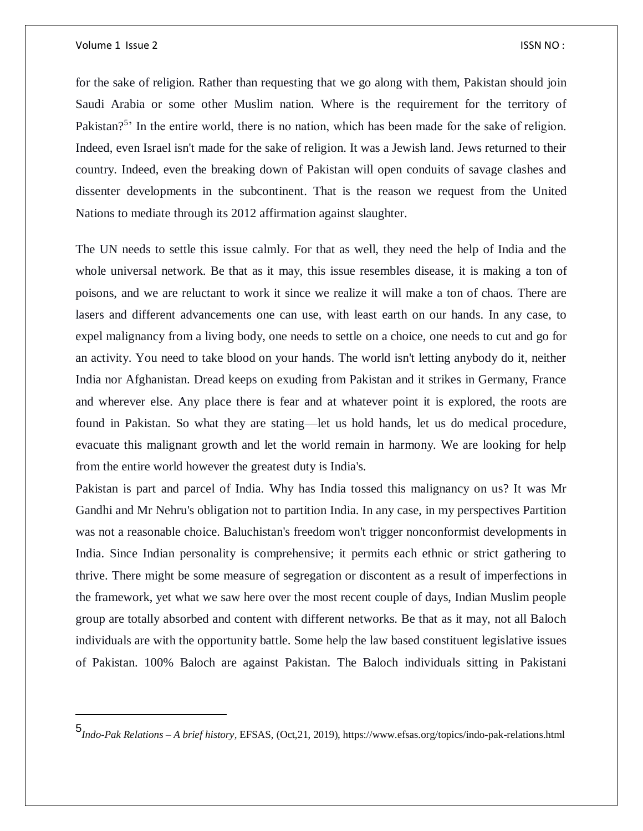$\overline{\phantom{a}}$ 

for the sake of religion. Rather than requesting that we go along with them, Pakistan should join Saudi Arabia or some other Muslim nation. Where is the requirement for the territory of Pakistan?<sup>5</sup> In the entire world, there is no nation, which has been made for the sake of religion. Indeed, even Israel isn't made for the sake of religion. It was a Jewish land. Jews returned to their country. Indeed, even the breaking down of Pakistan will open conduits of savage clashes and dissenter developments in the subcontinent. That is the reason we request from the United Nations to mediate through its 2012 affirmation against slaughter.

The UN needs to settle this issue calmly. For that as well, they need the help of India and the whole universal network. Be that as it may, this issue resembles disease, it is making a ton of poisons, and we are reluctant to work it since we realize it will make a ton of chaos. There are lasers and different advancements one can use, with least earth on our hands. In any case, to expel malignancy from a living body, one needs to settle on a choice, one needs to cut and go for an activity. You need to take blood on your hands. The world isn't letting anybody do it, neither India nor Afghanistan. Dread keeps on exuding from Pakistan and it strikes in Germany, France and wherever else. Any place there is fear and at whatever point it is explored, the roots are found in Pakistan. So what they are stating—let us hold hands, let us do medical procedure, evacuate this malignant growth and let the world remain in harmony. We are looking for help from the entire world however the greatest duty is India's.

Pakistan is part and parcel of India. Why has India tossed this malignancy on us? It was Mr Gandhi and Mr Nehru's obligation not to partition India. In any case, in my perspectives Partition was not a reasonable choice. Baluchistan's freedom won't trigger nonconformist developments in India. Since Indian personality is comprehensive; it permits each ethnic or strict gathering to thrive. There might be some measure of segregation or discontent as a result of imperfections in the framework, yet what we saw here over the most recent couple of days, Indian Muslim people group are totally absorbed and content with different networks. Be that as it may, not all Baloch individuals are with the opportunity battle. Some help the law based constituent legislative issues of Pakistan. 100% Baloch are against Pakistan. The Baloch individuals sitting in Pakistani

<sup>5</sup> *Indo-Pak Relations – A brief history,* EFSAS, (Oct,21, 2019), https://www.efsas.org/topics/indo-pak-relations.html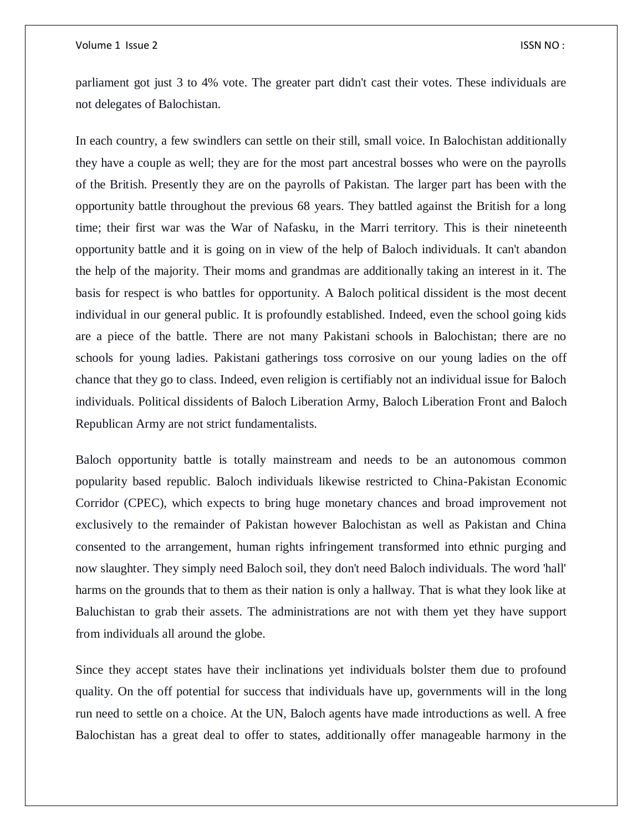parliament got just 3 to 4% vote. The greater part didn't cast their votes. These individuals are not delegates of Balochistan.

In each country, a few swindlers can settle on their still, small voice. In Balochistan additionally they have a couple as well; they are for the most part ancestral bosses who were on the payrolls of the British. Presently they are on the payrolls of Pakistan. The larger part has been with the opportunity battle throughout the previous 68 years. They battled against the British for a long time; their first war was the War of Nafasku, in the Marri territory. This is their nineteenth opportunity battle and it is going on in view of the help of Baloch individuals. It can't abandon the help of the majority. Their moms and grandmas are additionally taking an interest in it. The basis for respect is who battles for opportunity. A Baloch political dissident is the most decent individual in our general public. It is profoundly established. Indeed, even the school going kids are a piece of the battle. There are not many Pakistani schools in Balochistan; there are no schools for young ladies. Pakistani gatherings toss corrosive on our young ladies on the off chance that they go to class. Indeed, even religion is certifiably not an individual issue for Baloch individuals. Political dissidents of Baloch Liberation Army, Baloch Liberation Front and Baloch Republican Army are not strict fundamentalists.

Baloch opportunity battle is totally mainstream and needs to be an autonomous common popularity based republic. Baloch individuals likewise restricted to China-Pakistan Economic Corridor (CPEC), which expects to bring huge monetary chances and broad improvement not exclusively to the remainder of Pakistan however Balochistan as well as Pakistan and China consented to the arrangement, human rights infringement transformed into ethnic purging and now slaughter. They simply need Baloch soil, they don't need Baloch individuals. The word 'hall' harms on the grounds that to them as their nation is only a hallway. That is what they look like at Baluchistan to grab their assets. The administrations are not with them yet they have support from individuals all around the globe.

Since they accept states have their inclinations yet individuals bolster them due to profound quality. On the off potential for success that individuals have up, governments will in the long run need to settle on a choice. At the UN, Baloch agents have made introductions as well. A free Balochistan has a great deal to offer to states, additionally offer manageable harmony in the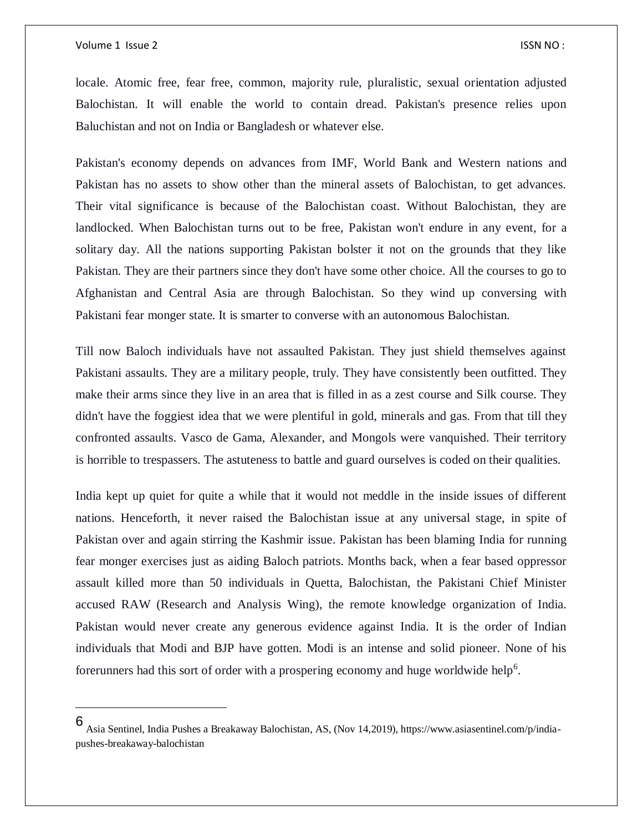$\overline{\phantom{a}}$ 

locale. Atomic free, fear free, common, majority rule, pluralistic, sexual orientation adjusted Balochistan. It will enable the world to contain dread. Pakistan's presence relies upon Baluchistan and not on India or Bangladesh or whatever else.

Pakistan's economy depends on advances from IMF, World Bank and Western nations and Pakistan has no assets to show other than the mineral assets of Balochistan, to get advances. Their vital significance is because of the Balochistan coast. Without Balochistan, they are landlocked. When Balochistan turns out to be free, Pakistan won't endure in any event, for a solitary day. All the nations supporting Pakistan bolster it not on the grounds that they like Pakistan. They are their partners since they don't have some other choice. All the courses to go to Afghanistan and Central Asia are through Balochistan. So they wind up conversing with Pakistani fear monger state. It is smarter to converse with an autonomous Balochistan.

Till now Baloch individuals have not assaulted Pakistan. They just shield themselves against Pakistani assaults. They are a military people, truly. They have consistently been outfitted. They make their arms since they live in an area that is filled in as a zest course and Silk course. They didn't have the foggiest idea that we were plentiful in gold, minerals and gas. From that till they confronted assaults. Vasco de Gama, Alexander, and Mongols were vanquished. Their territory is horrible to trespassers. The astuteness to battle and guard ourselves is coded on their qualities.

India kept up quiet for quite a while that it would not meddle in the inside issues of different nations. Henceforth, it never raised the Balochistan issue at any universal stage, in spite of Pakistan over and again stirring the Kashmir issue. Pakistan has been blaming India for running fear monger exercises just as aiding Baloch patriots. Months back, when a fear based oppressor assault killed more than 50 individuals in Quetta, Balochistan, the Pakistani Chief Minister accused RAW (Research and Analysis Wing), the remote knowledge organization of India. Pakistan would never create any generous evidence against India. It is the order of Indian individuals that Modi and BJP have gotten. Modi is an intense and solid pioneer. None of his forerunners had this sort of order with a prospering economy and huge worldwide help<sup>6</sup>.

<sup>6</sup> Asia Sentinel, India Pushes a Breakaway Balochistan, AS, (Nov 14,2019), https://www.asiasentinel.com/p/indiapushes-breakaway-balochistan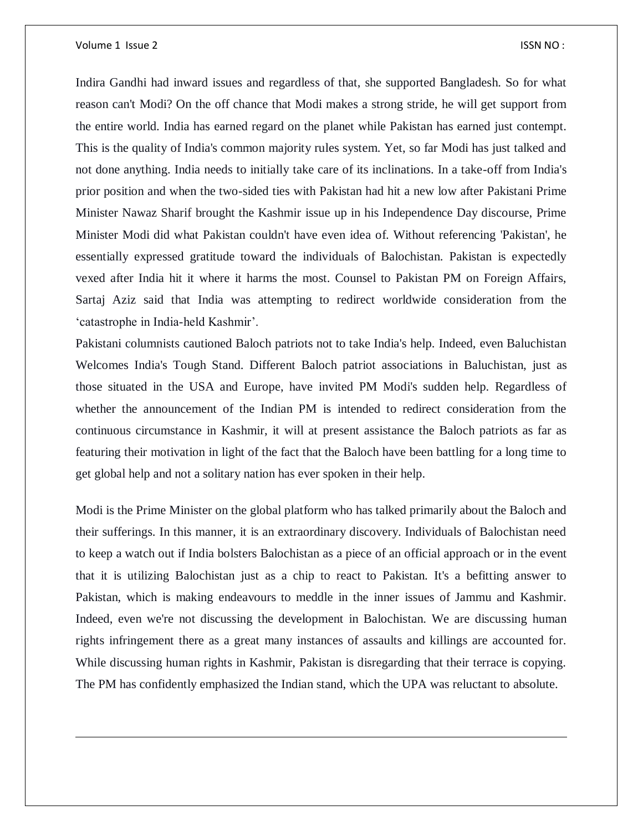$\overline{a}$ 

Indira Gandhi had inward issues and regardless of that, she supported Bangladesh. So for what reason can't Modi? On the off chance that Modi makes a strong stride, he will get support from the entire world. India has earned regard on the planet while Pakistan has earned just contempt. This is the quality of India's common majority rules system. Yet, so far Modi has just talked and not done anything. India needs to initially take care of its inclinations. In a take-off from India's prior position and when the two-sided ties with Pakistan had hit a new low after Pakistani Prime Minister Nawaz Sharif brought the Kashmir issue up in his Independence Day discourse, Prime Minister Modi did what Pakistan couldn't have even idea of. Without referencing 'Pakistan', he essentially expressed gratitude toward the individuals of Balochistan. Pakistan is expectedly vexed after India hit it where it harms the most. Counsel to Pakistan PM on Foreign Affairs, Sartaj Aziz said that India was attempting to redirect worldwide consideration from the 'catastrophe in India-held Kashmir'.

Pakistani columnists cautioned Baloch patriots not to take India's help. Indeed, even Baluchistan Welcomes India's Tough Stand. Different Baloch patriot associations in Baluchistan, just as those situated in the USA and Europe, have invited PM Modi's sudden help. Regardless of whether the announcement of the Indian PM is intended to redirect consideration from the continuous circumstance in Kashmir, it will at present assistance the Baloch patriots as far as featuring their motivation in light of the fact that the Baloch have been battling for a long time to get global help and not a solitary nation has ever spoken in their help.

Modi is the Prime Minister on the global platform who has talked primarily about the Baloch and their sufferings. In this manner, it is an extraordinary discovery. Individuals of Balochistan need to keep a watch out if India bolsters Balochistan as a piece of an official approach or in the event that it is utilizing Balochistan just as a chip to react to Pakistan. It's a befitting answer to Pakistan, which is making endeavours to meddle in the inner issues of Jammu and Kashmir. Indeed, even we're not discussing the development in Balochistan. We are discussing human rights infringement there as a great many instances of assaults and killings are accounted for. While discussing human rights in Kashmir, Pakistan is disregarding that their terrace is copying. The PM has confidently emphasized the Indian stand, which the UPA was reluctant to absolute.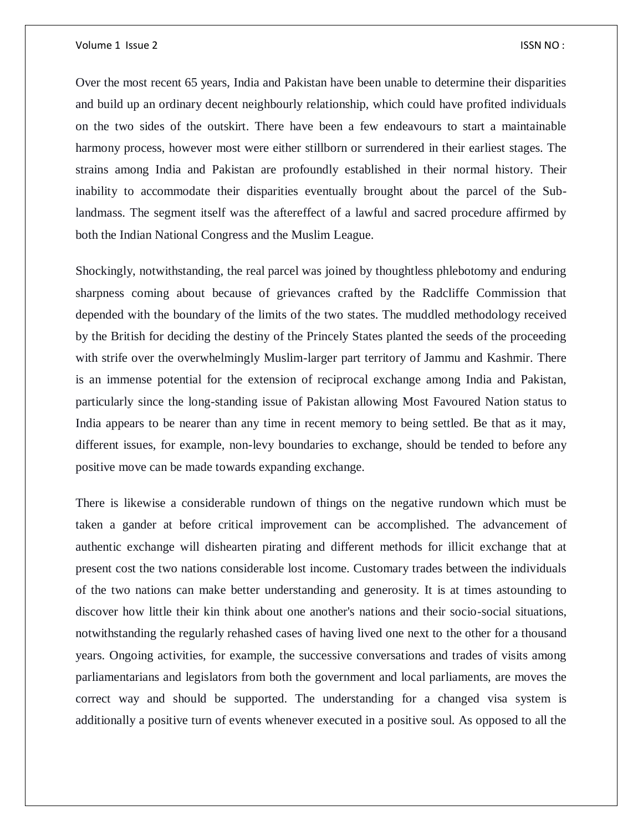Over the most recent 65 years, India and Pakistan have been unable to determine their disparities and build up an ordinary decent neighbourly relationship, which could have profited individuals on the two sides of the outskirt. There have been a few endeavours to start a maintainable harmony process, however most were either stillborn or surrendered in their earliest stages. The strains among India and Pakistan are profoundly established in their normal history. Their inability to accommodate their disparities eventually brought about the parcel of the Sublandmass. The segment itself was the aftereffect of a lawful and sacred procedure affirmed by both the Indian National Congress and the Muslim League.

Shockingly, notwithstanding, the real parcel was joined by thoughtless phlebotomy and enduring sharpness coming about because of grievances crafted by the Radcliffe Commission that depended with the boundary of the limits of the two states. The muddled methodology received by the British for deciding the destiny of the Princely States planted the seeds of the proceeding with strife over the overwhelmingly Muslim-larger part territory of Jammu and Kashmir. There is an immense potential for the extension of reciprocal exchange among India and Pakistan, particularly since the long-standing issue of Pakistan allowing Most Favoured Nation status to India appears to be nearer than any time in recent memory to being settled. Be that as it may, different issues, for example, non-levy boundaries to exchange, should be tended to before any positive move can be made towards expanding exchange.

There is likewise a considerable rundown of things on the negative rundown which must be taken a gander at before critical improvement can be accomplished. The advancement of authentic exchange will dishearten pirating and different methods for illicit exchange that at present cost the two nations considerable lost income. Customary trades between the individuals of the two nations can make better understanding and generosity. It is at times astounding to discover how little their kin think about one another's nations and their socio-social situations, notwithstanding the regularly rehashed cases of having lived one next to the other for a thousand years. Ongoing activities, for example, the successive conversations and trades of visits among parliamentarians and legislators from both the government and local parliaments, are moves the correct way and should be supported. The understanding for a changed visa system is additionally a positive turn of events whenever executed in a positive soul. As opposed to all the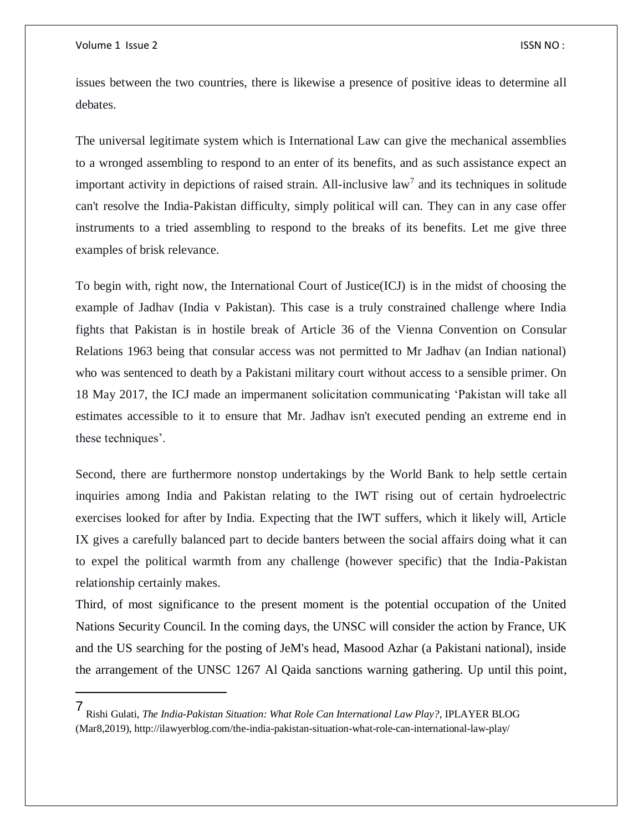$\overline{a}$ 

issues between the two countries, there is likewise a presence of positive ideas to determine all debates.

The universal legitimate system which is International Law can give the mechanical assemblies to a wronged assembling to respond to an enter of its benefits, and as such assistance expect an important activity in depictions of raised strain. All-inclusive law<sup>7</sup> and its techniques in solitude can't resolve the India-Pakistan difficulty, simply political will can. They can in any case offer instruments to a tried assembling to respond to the breaks of its benefits. Let me give three examples of brisk relevance.

To begin with, right now, the International Court of Justice(ICJ) is in the midst of choosing the example of Jadhav (India v Pakistan). This case is a truly constrained challenge where India fights that Pakistan is in hostile break of Article 36 of the Vienna Convention on Consular Relations 1963 being that consular access was not permitted to Mr Jadhav (an Indian national) who was sentenced to death by a Pakistani military court without access to a sensible primer. On 18 May 2017, the ICJ made an impermanent solicitation communicating 'Pakistan will take all estimates accessible to it to ensure that Mr. Jadhav isn't executed pending an extreme end in these techniques'.

Second, there are furthermore nonstop undertakings by the World Bank to help settle certain inquiries among India and Pakistan relating to the IWT rising out of certain hydroelectric exercises looked for after by India. Expecting that the IWT suffers, which it likely will, Article IX gives a carefully balanced part to decide banters between the social affairs doing what it can to expel the political warmth from any challenge (however specific) that the India-Pakistan relationship certainly makes.

Third, of most significance to the present moment is the potential occupation of the United Nations Security Council. In the coming days, the UNSC will consider the action by France, UK and the US searching for the posting of JeM's head, Masood Azhar (a Pakistani national), inside the arrangement of the UNSC 1267 Al Qaida sanctions warning gathering. Up until this point,

<sup>7</sup> Rishi Gulati, *The India-Pakistan Situation: What Role Can International Law Play?*, IPLAYER BLOG (Mar8,2019), http://ilawyerblog.com/the-india-pakistan-situation-what-role-can-international-law-play/